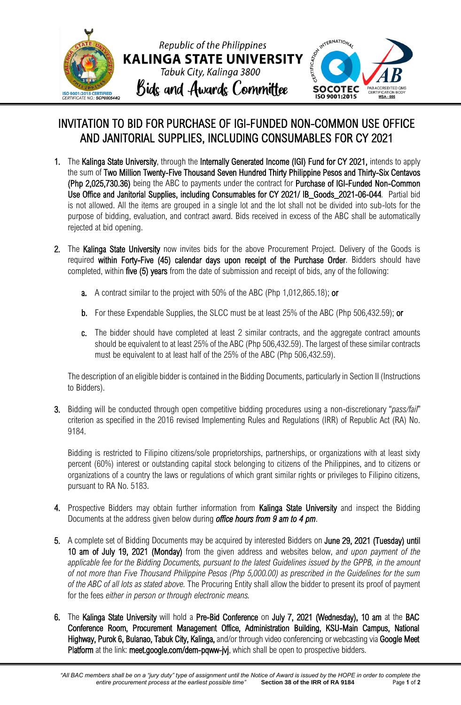

## INVITATION TO BID FOR PURCHASE OF IGI-FUNDED NON-COMMON USE OFFICE AND JANITORIAL SUPPLIES, INCLUDING CONSUMABLES FOR CY 2021

- 1. The Kalinga State University, through the Internally Generated Income (IGI) Fund for CY 2021, intends to apply the sum of Two Million Twenty-Five Thousand Seven Hundred Thirty Philippine Pesos and Thirty-Six Centavos (Php 2,025,730.36) being the ABC to payments under the contract for Purchase of IGI-Funded Non-Common Use Office and Janitorial Supplies, including Consumables for CY 2021/ IB\_Goods\_2021-06-044*.* Partial bid is not allowed. All the items are grouped in a single lot and the lot shall not be divided into sub-lots for the purpose of bidding, evaluation, and contract award. Bids received in excess of the ABC shall be automatically rejected at bid opening.
- 2. The Kalinga State University now invites bids for the above Procurement Project. Delivery of the Goods is required within Forty-Five (45) calendar days upon receipt of the Purchase Order. Bidders should have completed, within five (5) years from the date of submission and receipt of bids, any of the following:
	- a. A contract similar to the project with 50% of the ABC (Php 1,012,865.18); or
	- b. For these Expendable Supplies, the SLCC must be at least 25% of the ABC (Php 506,432.59); or
	- c. The bidder should have completed at least 2 similar contracts, and the aggregate contract amounts should be equivalent to at least 25% of the ABC (Php 506,432.59). The largest of these similar contracts must be equivalent to at least half of the 25% of the ABC (Php 506,432.59).

The description of an eligible bidder is contained in the Bidding Documents, particularly in Section II (Instructions to Bidders).

3. Bidding will be conducted through open competitive bidding procedures using a non-discretionary "*pass/fail*" criterion as specified in the 2016 revised Implementing Rules and Regulations (IRR) of Republic Act (RA) No. 9184.

Bidding is restricted to Filipino citizens/sole proprietorships, partnerships, or organizations with at least sixty percent (60%) interest or outstanding capital stock belonging to citizens of the Philippines, and to citizens or organizations of a country the laws or regulations of which grant similar rights or privileges to Filipino citizens, pursuant to RA No. 5183.

- 4. Prospective Bidders may obtain further information from Kalinga State University and inspect the Bidding Documents at the address given below during *office hours from 9 am to 4 pm*.
- 5. A complete set of Bidding Documents may be acquired by interested Bidders on June 29, 2021 (Tuesday) until 10 am of July 19, 2021 (Monday) from the given address and websites below, *and upon payment of the applicable fee for the Bidding Documents, pursuant to the latest Guidelines issued by the GPPB, in the amount of not more than Five Thousand Philippine Pesos (Php 5,000.00) as prescribed in the Guidelines for the sum of the ABC of all lots as stated above.* The Procuring Entity shall allow the bidder to present its proof of payment for the fees *either in person or through electronic means.*
- 6. The Kalinga State University will hold a Pre-Bid Conference on July 7, 2021 (Wednesday), 10 am at the BAC Conference Room, Procurement Management Office, Administration Building, KSU-Main Campus, National Highway, Purok 6, Bulanao, Tabuk City, Kalinga, and/or through video conferencing or webcasting via Google Meet Platform at the link: meet.google.com/dem-pqww-jvj, which shall be open to prospective bidders.